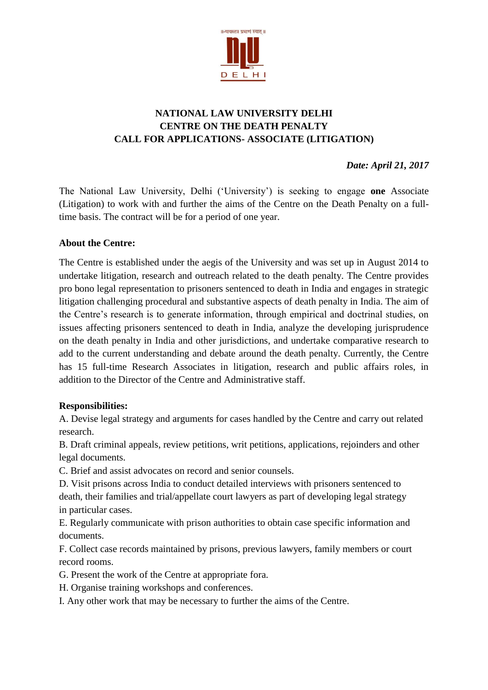

## **NATIONAL LAW UNIVERSITY DELHI CENTRE ON THE DEATH PENALTY CALL FOR APPLICATIONS- ASSOCIATE (LITIGATION)**

*Date: April 21, 2017*

The National Law University, Delhi ('University') is seeking to engage **one** Associate (Litigation) to work with and further the aims of the Centre on the Death Penalty on a fulltime basis. The contract will be for a period of one year.

#### **About the Centre:**

The Centre is established under the aegis of the University and was set up in August 2014 to undertake litigation, research and outreach related to the death penalty. The Centre provides pro bono legal representation to prisoners sentenced to death in India and engages in strategic litigation challenging procedural and substantive aspects of death penalty in India. The aim of the Centre's research is to generate information, through empirical and doctrinal studies, on issues affecting prisoners sentenced to death in India, analyze the developing jurisprudence on the death penalty in India and other jurisdictions, and undertake comparative research to add to the current understanding and debate around the death penalty. Currently, the Centre has 15 full-time Research Associates in litigation, research and public affairs roles, in addition to the Director of the Centre and Administrative staff.

#### **Responsibilities:**

A. Devise legal strategy and arguments for cases handled by the Centre and carry out related research.

B. Draft criminal appeals, review petitions, writ petitions, applications, rejoinders and other legal documents.

C. Brief and assist advocates on record and senior counsels.

D. Visit prisons across India to conduct detailed interviews with prisoners sentenced to death, their families and trial/appellate court lawyers as part of developing legal strategy in particular cases.

E. Regularly communicate with prison authorities to obtain case specific information and documents.

F. Collect case records maintained by prisons, previous lawyers, family members or court record rooms.

G. Present the work of the Centre at appropriate fora.

H. Organise training workshops and conferences.

I. Any other work that may be necessary to further the aims of the Centre.